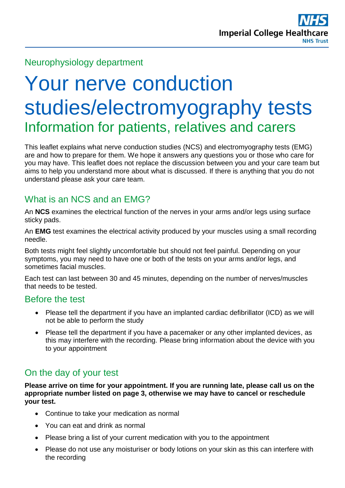## Neurophysiology department

# Your nerve conduction studies/electromyography tests Information for patients, relatives and carers

This leaflet explains what nerve conduction studies (NCS) and electromyography tests (EMG) are and how to prepare for them. We hope it answers any questions you or those who care for you may have. This leaflet does not replace the discussion between you and your care team but aims to help you understand more about what is discussed. If there is anything that you do not understand please ask your care team.

# What is an NCS and an EMG?

An **NCS** examines the electrical function of the nerves in your arms and/or legs using surface sticky pads.

An **EMG** test examines the electrical activity produced by your muscles using a small recording needle.

Both tests might feel slightly uncomfortable but should not feel painful. Depending on your symptoms, you may need to have one or both of the tests on your arms and/or legs, and sometimes facial muscles.

Each test can last between 30 and 45 minutes, depending on the number of nerves/muscles that needs to be tested.

#### Before the test

- Please tell the department if you have an implanted cardiac defibrillator (ICD) as we will not be able to perform the study
- Please tell the department if you have a pacemaker or any other implanted devices, as this may interfere with the recording. Please bring information about the device with you to your appointment

## On the day of your test

**Please arrive on time for your appointment. If you are running late, please call us on the appropriate number listed on page 3, otherwise we may have to cancel or reschedule your test.** 

- Continue to take your medication as normal
- You can eat and drink as normal
- Please bring a list of your current medication with you to the appointment
- Please do not use any moisturiser or body lotions on your skin as this can interfere with the recording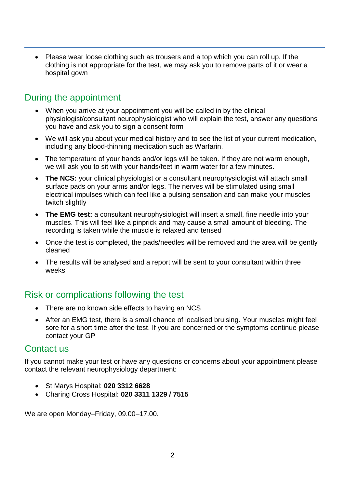• Please wear loose clothing such as trousers and a top which you can roll up. If the clothing is not appropriate for the test, we may ask you to remove parts of it or wear a hospital gown

### During the appointment

- When you arrive at your appointment you will be called in by the clinical physiologist/consultant neurophysiologist who will explain the test, answer any questions you have and ask you to sign a consent form
- We will ask you about your medical history and to see the list of your current medication, including any blood-thinning medication such as Warfarin.
- The temperature of your hands and/or legs will be taken. If they are not warm enough, we will ask you to sit with your hands/feet in warm water for a few minutes.
- **The NCS:** your clinical physiologist or a consultant neurophysiologist will attach small surface pads on your arms and/or legs. The nerves will be stimulated using small electrical impulses which can feel like a pulsing sensation and can make your muscles twitch slightly
- **The EMG test:** a consultant neurophysiologist will insert a small, fine needle into your muscles. This will feel like a pinprick and may cause a small amount of bleeding. The recording is taken while the muscle is relaxed and tensed
- Once the test is completed, the pads/needles will be removed and the area will be gently cleaned
- The results will be analysed and a report will be sent to your consultant within three weeks

# Risk or complications following the test

- There are no known side effects to having an NCS
- After an EMG test, there is a small chance of localised bruising. Your muscles might feel sore for a short time after the test. If you are concerned or the symptoms continue please contact your GP

#### Contact us

If you cannot make your test or have any questions or concerns about your appointment please contact the relevant neurophysiology department:

- St Marys Hospital: **020 3312 6628**
- Charing Cross Hospital: **020 3311 1329 / 7515**

We are open Monday–Friday, 09.00–17.00.